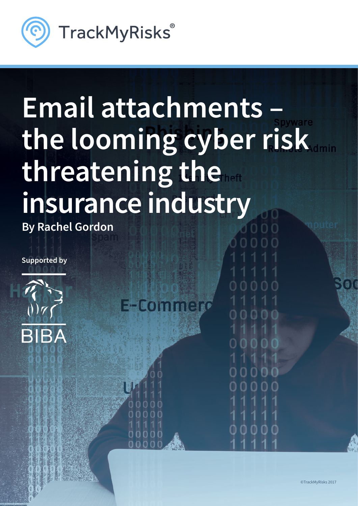

# **Email attachments – the looming cyber risk threatening the insurance industry**

**Existent** 

**By Rachel Gordon**

**Supported by**



©TrackMyRisks 2017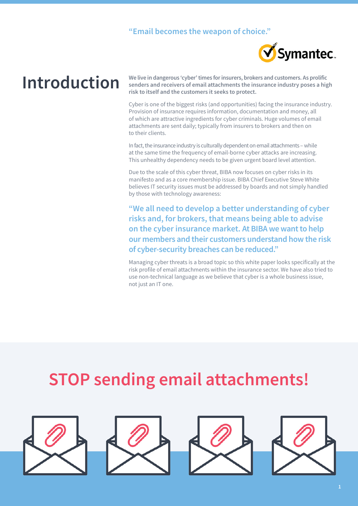#### **"Email becomes the weapon of choice."**



### **Introduction**

**We live in dangerous 'cyber' times for insurers, brokers and customers. As prolific senders and receivers of email attachments the insurance industry poses a high risk to itself and the customers it seeks to protect.**

Cyber is one of the biggest risks (and opportunities) facing the insurance industry. Provision of insurance requires information, documentation and money, all of which are attractive ingredients for cyber criminals. Huge volumes of email attachments are sent daily; typically from insurers to brokers and then on to their clients.

In fact, the insurance industry is culturally dependent on email attachments – while at the same time the frequency of email-borne cyber attacks are increasing. This unhealthy dependency needs to be given urgent board level attention.

Due to the scale of this cyber threat, BIBA now focuses on cyber risks in its manifesto and as a core membership issue. BIBA Chief Executive Steve White believes IT security issues must be addressed by boards and not simply handled by those with technology awareness:

**"We all need to develop a better understanding of cyber risks and, for brokers, that means being able to advise on the cyber insurance market. At BIBA we want to help our members and their customers understand how the risk of cyber-security breaches can be reduced."**

Managing cyber threats is a broad topic so this white paper looks specifically at the risk profile of email attachments within the insurance sector. We have also tried to use non-technical language as we believe that cyber is a whole business issue, not just an IT one.

### **STOP sending email attachments!**

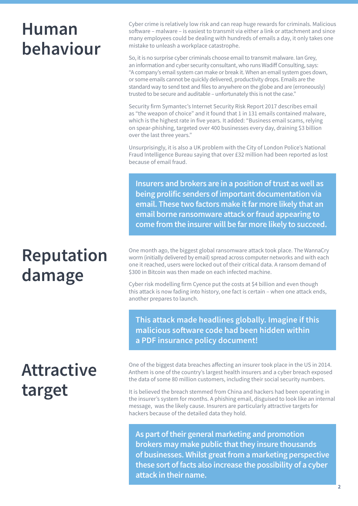### **Human behaviour**

### **Reputation damage**

**Attractive target**

Cyber crime is relatively low risk and can reap huge rewards for criminals. Malicious software – malware – is easiest to transmit via either a link or attachment and since many employees could be dealing with hundreds of emails a day, it only takes one mistake to unleash a workplace catastrophe.

So, it is no surprise cyber criminals choose email to transmit malware. Ian Grey, an information and cyber security consultant, who runs Wadiff Consulting, says: "A company's email system can make or break it. When an email system goes down, or some emails cannot be quickly delivered, productivity drops. Emails are the standard way to send text and files to anywhere on the globe and are (erroneously) trusted to be secure and auditable – unfortunately this is not the case."

Security firm Symantec's Internet Security Risk Report 2017 describes email as "the weapon of choice" and it found that 1 in 131 emails contained malware, which is the highest rate in five years. It added: "Business email scams, relying on spear-phishing, targeted over 400 businesses every day, draining \$3 billion over the last three years."

Unsurprisingly, it is also a UK problem with the City of London Police's National Fraud Intelligence Bureau saying that over £32 million had been reported as lost because of email fraud.

**Insurers and brokers are in a position of trust as well as being prolific senders of important documentation via email. These two factors make it far more likely that an email borne ransomware attack or fraud appearing to come from the insurer will be far more likely to succeed.**

One month ago, the biggest global ransomware attack took place. The WannaCry worm (initially delivered by email) spread across computer networks and with each one it reached, users were locked out of their critical data. A ransom demand of \$300 in Bitcoin was then made on each infected machine.

[Cyber risk modelling firm Cyence put the costs at \\$4 billion a](http://www.cbsnews.com/news/wannacry-ransomware-attacks-wannacry-virus-losses/)nd even though this attack is now fading into history, one fact is certain – when one attack ends, another prepares to launch.

**This attack made headlines globally. Imagine if this malicious software code had been hidden within a PDF insurance policy document!**

One of the biggest data breaches affecting an insurer took place in the US in 2014. Anthem is one of the country's largest health insurers and a cyber breach exposed the data of some 80 million customers, including their social security numbers.

It is believed the breach stemmed from China and hackers had been operating in the insurer's system for months. A phishing email, disguised to look like an internal message, was the likely cause. Insurers are particularly attractive targets for hackers because of the detailed data they hold.

**As part of their general marketing and promotion brokers may make public that they insure thousands of businesses. Whilst great from a marketing perspective these sort of facts also increase the possibility of a cyber attack in their name.**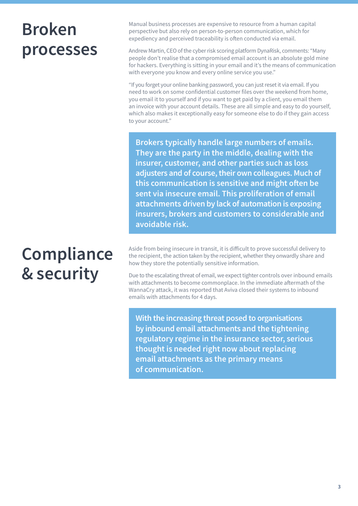### **Broken processes**

### **Compliance & security**

Manual business processes are expensive to resource from a human capital perspective but also rely on person-to-person communication, which for expediency and perceived traceability is often conducted via email.

Andrew Martin, CEO of the cyber risk scoring platform DynaRisk, comments: "Many people don't realise that a compromised email account is an absolute gold mine for hackers. Everything is sitting in your email and it's the means of communication with everyone you know and every online service you use."

"If you forget your online banking password, you can just reset it via email. If you need to work on some confidential customer files over the weekend from home, you email it to yourself and if you want to get paid by a client, you email them an invoice with your account details. These are all simple and easy to do yourself, which also makes it exceptionally easy for someone else to do if they gain access to your account."

**Brokers typically handle large numbers of emails. They are the party in the middle, dealing with the insurer, customer, and other parties such as loss adjusters and of course, their own colleagues. Much of this communication is sensitive and might often be sent via insecure email. This proliferation of email attachments driven by lack of automation is exposing insurers, brokers and customers to considerable and avoidable risk.**

Aside from being insecure in transit, it is difficult to prove successful delivery to the recipient, the action taken by the recipient, whether they onwardly share and how they store the potentially sensitive information.

Due to the escalating threat of email, we expect tighter controls over inbound emails with attachments to become commonplace. In the immediate aftermath of the WannaCry attack, it was reported that Aviva closed their systems to inbound emails with attachments for 4 days.

**With the increasing threat posed to organisations by inbound email attachments and the tightening regulatory regime in the insurance sector, serious thought is needed right now about replacing email attachments as the primary means of communication.**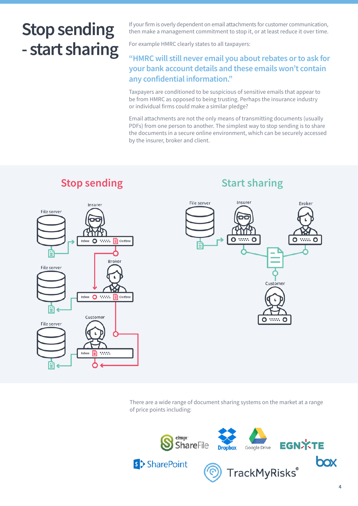### **Stop sending - start sharing**

If your firm is overly dependent on email attachments for customer communication, then make a management commitment to stop it, or at least reduce it over time.

For example HMRC clearly states to all taxpayers:

#### **"HMRC will still never email you about rebates or to ask for your bank account details and these emails won't contain any confidential information."**

Taxpayers are conditioned to be suspicious of sensitive emails that appear to be from HMRC as opposed to being trusting. Perhaps the insurance industry or individual firms could make a similar pledge?

Email attachments are not the only means of transmitting documents (usually PDFs) from one person to another. The simplest way to stop sending is to share the documents in a secure online environment, which can be securely accessed by the insurer, broker and client.

### Insurer File server Inbox O : : : = Outbox Broker File server Inbox O …… El Outbo Customer File server  $\mathbf{L}$ Inbox  $\boxed{\triangleq}$  :....

## **Stop sending the Start sharing Start sharing**



There are a wide range of document sharing systems on the market at a range of price points including:

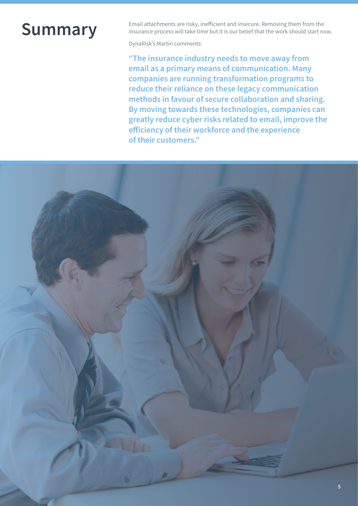### **Summary**

Email attachments are risky, inefficient and insecure. Removing them from the insurance process will take time but it is our belief that the work should start now.

DynaRisk's Martin comments:

**"The insurance industry needs to move away from email as a primary means of communication. Many companies are running transformation programs to reduce their reliance on these legacy communication methods in favour of secure collaboration and sharing. By moving towards these technologies, companies can greatly reduce cyber risks related to email, improve the efficiency of their workforce and the experience of their customers."**